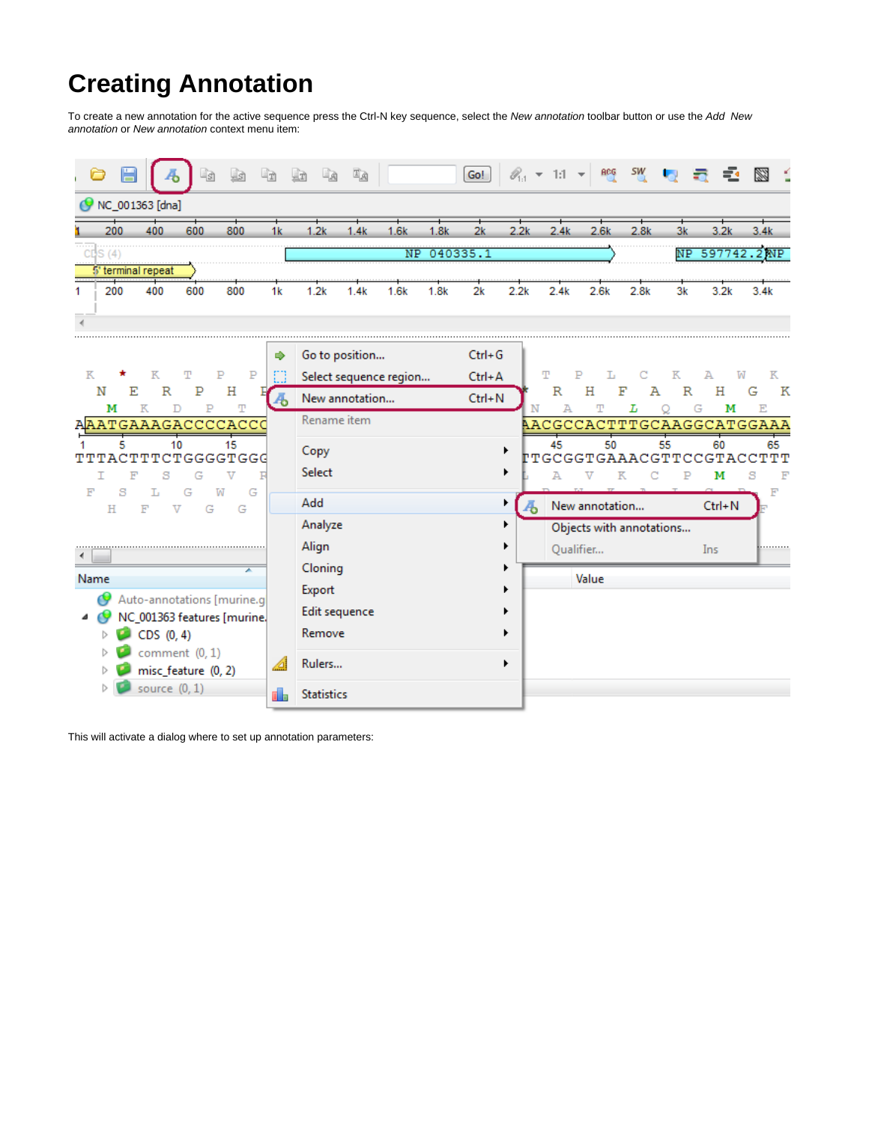## **Creating Annotation**

To create a new annotation for the active sequence press the Ctrl-N key sequence, select the New annotation toolbar button or use the Add New annotation or New annotation context menu item:

|                    |     |                 |     |     |    |                | 耳函   |      |      | Go!      |      |      |      |      |    | ≪. ▼ 1:1 ▼ 略 ซี 喝 급 클 | $\mathbb{R}$ |
|--------------------|-----|-----------------|-----|-----|----|----------------|------|------|------|----------|------|------|------|------|----|-----------------------|--------------|
| NC_001363 [dna]    |     |                 |     |     |    |                |      |      |      |          |      |      |      |      |    |                       |              |
|                    | 200 | 400             | 600 | 800 | 1к | l .2k          | 1.4k | 1.6k | 1.8k | 2k       | 2.2k | 2.4k | 2.6k | 2.8k | Зk | 3.2k                  | 3.4k         |
| summer summer<br>. |     |                 |     |     |    |                |      | N P. |      | 040335.1 |      |      |      |      |    |                       |              |
|                    |     | terminal repeal |     |     |    |                |      |      |      |          |      |      |      |      |    |                       |              |
|                    | 200 | 400             | 600 | 800 | 1k | .2k            | .4k  | 1.6k | 1.8k | 2k       | 2.2k | 2 4k | 2.6k | 2.8k | 3k | 3.2k                  |              |
| ___                |     |                 |     |     |    |                |      |      |      |          |      |      |      |      |    |                       |              |
|                    |     |                 |     |     |    | Go to position |      |      |      |          |      |      |      |      |    |                       |              |

|                                                                                     |       | <b>OO TO DOSITION</b>   | un+u       |         |                                       |   |         |     |            |                                        |
|-------------------------------------------------------------------------------------|-------|-------------------------|------------|---------|---------------------------------------|---|---------|-----|------------|----------------------------------------|
| P<br>к<br>Р<br>Κ<br>T                                                               |       | Select sequence region  | Ctrl+A     | T       |                                       |   | Κ       | А   | ТW         | к                                      |
| N<br>E<br>Н<br>R<br>P                                                               |       | New annotation          | $Ctrl + N$ | R       | Η                                     | F | А       | R   | н          | K<br>G                                 |
| м<br>T<br>Κ<br>P<br>AAATGAAAGACCCCACCO                                              |       | Rename item             |            | А       |                                       | L |         | G   | м          | E<br>AACGCCACTTTGCAAGGCATGGAAA         |
| 15<br>10<br>TTTACTTTCTGGGGTGGG                                                      |       | Copy<br>Select          |            | 45<br>А | 50                                    | Κ | 55<br>C |     | 60<br>м    | 65<br><b>TTGCGGTGAAACGTTCCGTACCTTT</b> |
| T.<br>G<br>F<br>s<br>G<br>w<br>н<br>G<br>F<br>$\overline{\mathbf{v}}$<br>G          |       | Add                     |            |         | New annotation                        |   |         |     | $Ctrl + N$ |                                        |
|                                                                                     |       | Analyze<br>Align        |            |         | Objects with annotations<br>Qualifier |   |         | Ins |            | .                                      |
| Name                                                                                |       | Cloning<br>Export       |            |         | Value                                 |   |         |     |            |                                        |
| Auto-annotations [murine.g]<br>NC_001363 features [murine.]<br>◢<br>CDS (0, 4)<br>Þ |       | Edit sequence<br>Remove |            |         |                                       |   |         |     |            |                                        |
| comment $(0, 1)$<br>▷<br>misc feature (0, 2)<br>Þ                                   |       | Rulers                  |            |         |                                       |   |         |     |            |                                        |
| source $(0, 1)$                                                                     | lih 1 | <b>Statistics</b>       |            |         |                                       |   |         |     |            |                                        |

This will activate a dialog where to set up annotation parameters: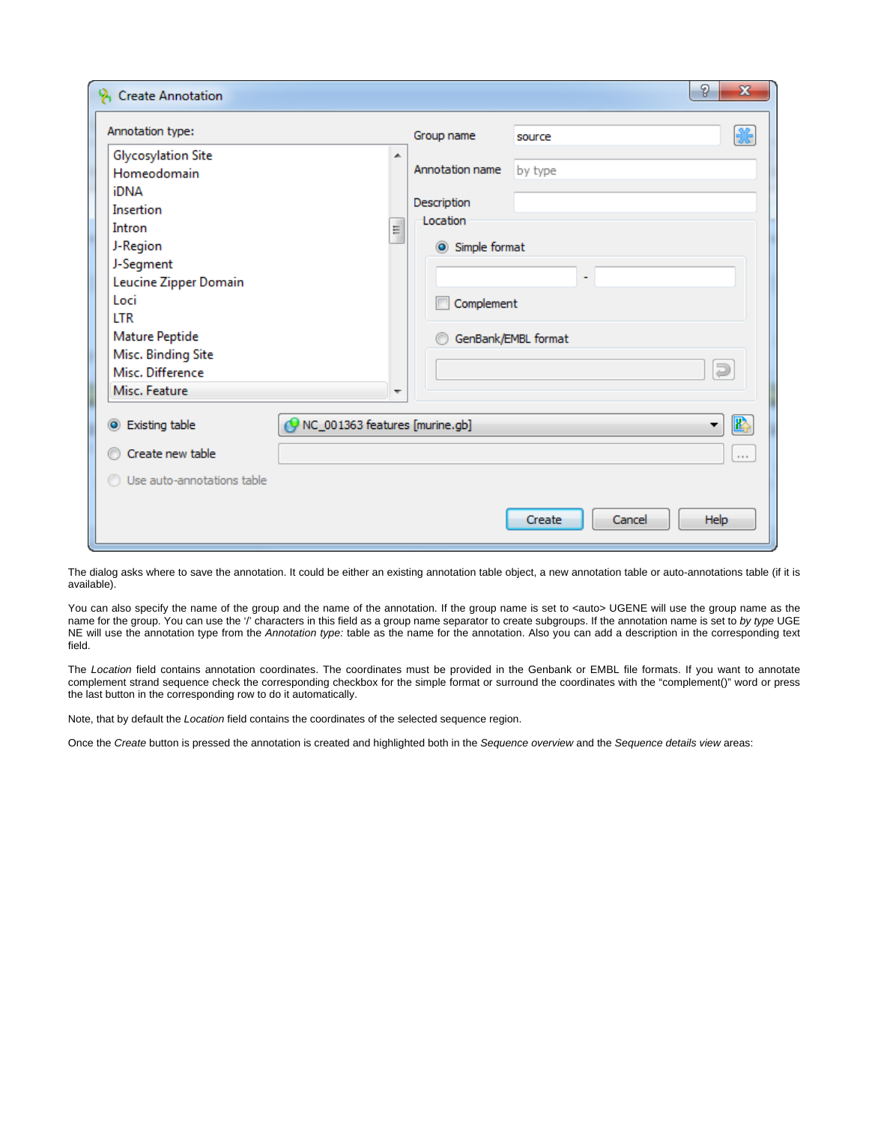| Annotation type:                                                                                                                                                                                                             |                                | Group name                                                                | source                              | ₩                               |  |  |  |  |
|------------------------------------------------------------------------------------------------------------------------------------------------------------------------------------------------------------------------------|--------------------------------|---------------------------------------------------------------------------|-------------------------------------|---------------------------------|--|--|--|--|
| Glycosylation Site<br>Homeodomain<br><b>iDNA</b><br>Insertion<br>Intron<br>J-Region<br>J-Segment<br>Leucine Zipper Domain<br>Loci<br><b>LTR</b><br>Mature Peptide<br>Misc. Binding Site<br>Misc. Difference<br>Misc. Feature | ▲<br>E.<br>٠                   | Annotation name<br>Description<br>Location<br>Simple format<br>Complement | by type<br>÷<br>GenBank/EMBL format | J                               |  |  |  |  |
| Sisting table<br>Create new table                                                                                                                                                                                            | NC_001363 features [murine.gb] |                                                                           |                                     | $\mathbb{E}$<br>▼<br><b>COL</b> |  |  |  |  |
| <b>O</b> Use auto-annotations table                                                                                                                                                                                          |                                |                                                                           |                                     |                                 |  |  |  |  |

The dialog asks where to save the annotation. It could be either an existing annotation table object, a new annotation table or auto-annotations table (if it is available).

You can also specify the name of the group and the name of the annotation. If the group name is set to <auto> UGENE will use the group name as the name for the group. You can use the '/' characters in this field as a group name separator to create subgroups. If the annotation name is set to by type UGE NE will use the annotation type from the Annotation type: table as the name for the annotation. Also you can add a description in the corresponding text field.

The Location field contains annotation coordinates. The coordinates must be provided in the Genbank or EMBL file formats. If you want to annotate complement strand sequence check the corresponding checkbox for the simple format or surround the coordinates with the "complement()" word or press the last button in the corresponding row to do it automatically.

Note, that by default the Location field contains the coordinates of the selected sequence region.

Once the Create button is pressed the annotation is created and highlighted both in the Sequence overview and the Sequence details view areas: